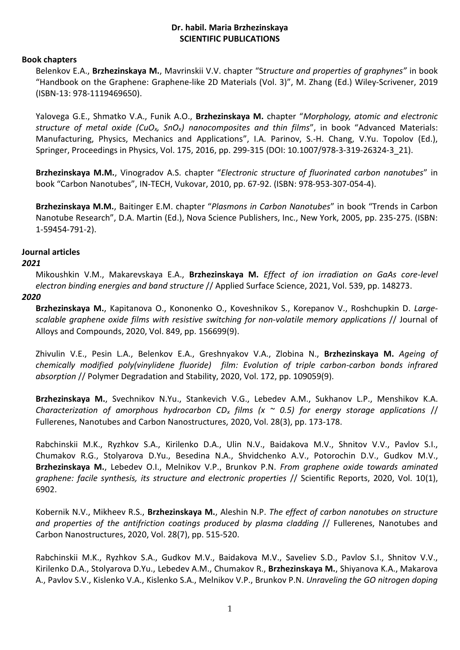# **Dr. habil. Maria Brzhezinskaya SCIENTIFIC PUBLICATIONS**

## **Book chapters**

Belenkov E.A., **Brzhezinskaya M.**, Mavrinskii V.V. chapter "S*tructure and properties of graphynes"* in book "Handbook on the Graphene: Graphene-like 2D Materials (Vol. 3)", M. Zhang (Ed.) Wiley-Scrivener, 2019 (ISBN-13: 978-1119469650).

Yalovega G.E., Shmatko V.A., Funik A.O., **Brzhezinskaya M.** chapter "*Morphology, atomic and electronic structure of metal oxide (CuOx, SnOx) nanocomposites and thin films*", in book "Advanced Materials: Manufacturing, Physics, Mechanics and Applications", I.A. Parinov, S.-H. Chang, V.Yu. Topolov (Ed.), Springer, Proceedings in Physics, Vol. 175, 2016, pp. 299-315 (DOI: 10.1007/978-3-319-26324-3\_21).

**Brzhezinskaya M.M.**, Vinogradov A.S. chapter "*Electronic structure of fluorinated carbon nanotubes*" in book "Carbon Nanotubes", IN-TECH, Vukovar, 2010, pp. 67-92. (ISBN: 978-953-307-054-4).

**Brzhezinskaya M.M.**, Baitinger E.M. chapter "*Plasmons in Carbon Nanotubes*" in book "Trends in Carbon Nanotube Research", D.A. Martin (Ed.), Nova Science Publishers, Inc., New York, 2005, pp. 235-275. (ISBN: 1-59454-791-2).

# **Journal articles**

# *2021*

Mikoushkin V.M., Makarevskaya E.A., **Brzhezinskaya M.** *Effect of ion irradiation on GaAs core-level electron binding energies and band structure* // Applied Surface Science, 2021, Vol. 539, pp. 148273.

## *2020*

**Brzhezinskaya M.**, Kapitanova O., Kononenko O., Koveshnikov S., Korepanov V., Roshchupkin D. *Largescalable graphene oxide films with resistive switching for non-volatile memory applications* // Journal of Alloys and Compounds, 2020, Vol. 849, pp. 156699(9).

Zhivulin V.E., Pesin L.A., Belenkov E.A., Greshnyakov V.A., Zlobina N., **Brzhezinskaya M.** *Ageing of chemically modified poly(vinylidene fluoride) film: Evolution of triple carbon-carbon bonds infrared absorption* // Polymer Degradation and Stability, 2020, Vol. 172, pp. 109059(9).

**Brzhezinskaya M.**, Svechnikov N.Yu., Stankevich V.G., Lebedev A.M., Sukhanov L.P., Menshikov K.A. *Characterization of amorphous hydrocarbon CD<sup>x</sup> films (x ~ 0.5) for energy storage applications* // Fullerenes, Nanotubes and Carbon Nanostructures, 2020, Vol. 28(3), pp. 173-178.

Rabchinskii M.K., Ryzhkov S.A., Kirilenko D.A., Ulin N.V., Baidakova M.V., Shnitov V.V., Pavlov S.I., Chumakov R.G., Stolyarova D.Yu., Besedina N.A., Shvidchenko A.V., Potorochin D.V., Gudkov M.V., **Brzhezinskaya M.**, Lebedev O.I., Melnikov V.P., Brunkov P.N. *From graphene oxide towards aminated graphene: facile synthesis, its structure and electronic properties* // Scientific Reports, 2020, Vol. 10(1), 6902.

Kobernik N.V., Mikheev R.S., **Brzhezinskaya M.**, Aleshin N.P. *The effect of carbon nanotubes on structure and properties of the antifriction coatings produced by plasma cladding* // Fullerenes, Nanotubes and Carbon Nanostructures, 2020, Vol. 28(7), pp. 515-520.

Rabchinskii M.K., Ryzhkov S.A., Gudkov M.V., Baidakova M.V., Saveliev S.D., Pavlov S.I., Shnitov V.V., Kirilenko D.A., Stolyarova D.Yu., Lebedev A.M., Chumakov R., **Brzhezinskaya M.**, Shiyanova K.A., Makarova A., Pavlov S.V., Kislenko V.A., Kislenko S.A., Melnikov V.P., Brunkov P.N. *Unraveling the GO nitrogen doping*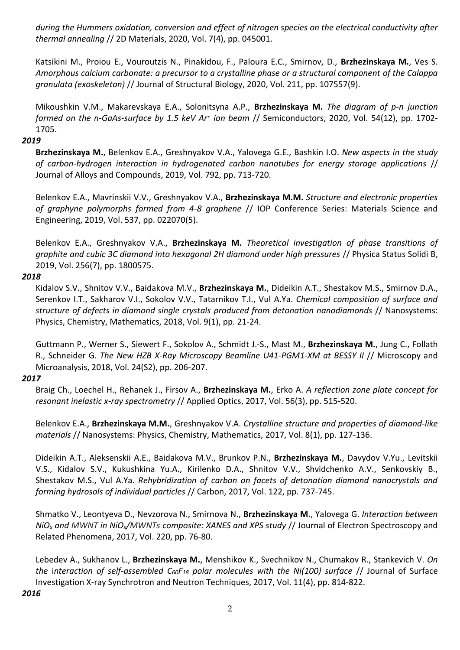*during the Hummers oxidation, conversion and effect of nitrogen species on the electrical conductivity after thermal annealing* // 2D Materials, 2020, Vol. 7(4), pp. 045001.

Katsikini M., Proiou E., Vouroutzis N., Pinakidou, F., Paloura E.C., Smirnov, D., **Brzhezinskaya M.**, Ves S. *Amorphous calcium carbonate: a precursor to a crystalline phase or a structural component of the Calappa granulata (exoskeleton)* // Journal of Structural Biology, 2020, Vol. 211, pp. 107557(9).

Mikoushkin V.M., Makarevskaya E.A., Solonitsyna A.P., **Brzhezinskaya M.** *The diagram of p-n junction formed on the n-GaAs-surface by 1.5 keV Ar<sup>+</sup> ion beam* // Semiconductors, 2020, Vol. 54(12), pp. 1702- 1705.

## *2019*

**Brzhezinskaya M.**, Belenkov E.A., Greshnyakov V.A., Yalovega G.E., Bashkin I.O. *New aspects in the study of carbon-hydrogen interaction in hydrogenated carbon nanotubes for energy storage applications* // Journal of Alloys and Compounds, 2019, Vol. 792, pp. 713-720.

Belenkov E.A., Mavrinskii V.V., Greshnyakov V.A., **Brzhezinskaya M.M.** *Structure and electronic properties of graphyne polymorphs formed from 4-8 graphene* // IOP Conference Series: Materials Science and Engineering, 2019, Vol. 537, pp. 022070(5).

Belenkov E.A., Greshnyakov V.A., **Brzhezinskaya M.** *Theoretical investigation of phase transitions of graphite and cubic 3C diamond into hexagonal 2H diamond under high pressures* // Physica Status Solidi B, 2019, Vol. 256(7), pp. 1800575.

# *2018*

Kidalov S.V., Shnitov V.V., Baidakova M.V., **Brzhezinskaya M.**, Dideikin A.T., Shestakov M.S., Smirnov D.A., Serenkov I.T., Sakharov V.I., Sokolov V.V., Tatarnikov T.I., Vul A.Ya. *Chemical composition of surface and structure of defects in diamond single crystals produced from detonation nanodiamonds* // Nanosystems: Physics, Chemistry, Mathematics, 2018, Vol. 9(1), pp. 21-24.

Guttmann P., Werner S., Siewert F., Sokolov A., Schmidt J.-S., Mast M., **Brzhezinskaya M.**, Jung C., Follath R., Schneider G. *The New HZB X-Ray Microscopy Beamline U41-PGM1-XM at BESSY II* // Microscopy and Microanalysis, 2018, Vol. 24(S2), pp. 206-207.

# *2017*

Braig Ch., Loechel H., Rehanek J., Firsov A., **Brzhezinskaya M.**, Erko A. *A reflection zone plate concept for resonant inelastic x-ray spectrometry* // Applied Optics, 2017, Vol. 56(3), pp. 515-520.

Belenkov E.A., **Brzhezinskaya M.M.**, Greshnyakov V.A. *Crystalline structure and properties of diamond-like materials* // Nanosystems: Physics, Chemistry, Mathematics, 2017, Vol. 8(1), pp. 127-136.

Dideikin A.T., Aleksenskii A.E., Baidakova M.V., Brunkov P.N., **Brzhezinskaya M.**, Davydov V.Yu., Levitskii V.S., Kidalov S.V., Kukushkina Yu.A., Kirilenko D.A., Shnitov V.V., Shvidchenko A.V., Senkovskiy B., Shestakov M.S., Vul A.Ya. *Rehybridization of carbon on facets of detonation diamond nanocrystals and forming hydrosols of individual particles* // Carbon, 2017, Vol. 122, pp. 737-745.

Shmatko V., Leontyeva D., Nevzorova N., Smirnova N., **Brzhezinskaya M.**, Yalovega G. *Interaction between NiO<sup>x</sup> and MWNT in NiOx/MWNTs composite: XANES and XPS study* // Journal of Electron Spectroscopy and Related Phenomena, 2017, Vol. 220, pp. 76-80.

Lebedev A., Sukhanov L., **Brzhezinskaya M.**, Menshikov K., Svechnikov N., Chumakov R., Stankevich V. *On the* i*nteraction of self-assembled C60F<sup>18</sup> polar molecules with the Ni(100) surface* // Journal of Surface Investigation X-ray Synchrotron and Neutron Techniques, 2017, Vol. 11(4), pp. 814-822.

#### *2016*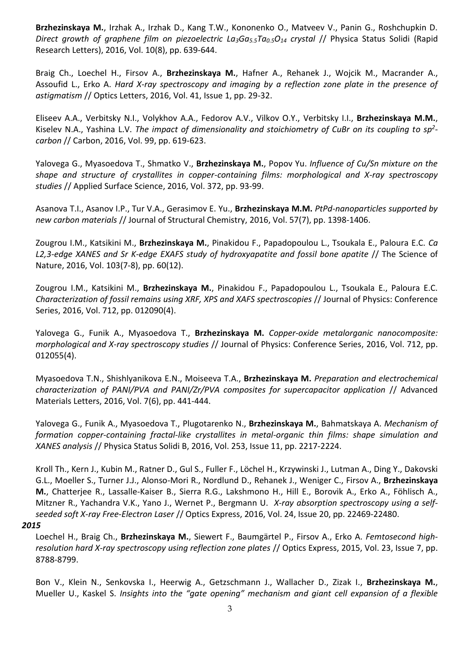**Brzhezinskaya M.**, Irzhak A., Irzhak D., Kang T.W., Kononenko O., Matveev V., Panin G., Roshchupkin D. *Direct growth of graphene film on piezoelectric La3Ga5.5Ta0.5O<sup>14</sup> crystal* // Physica Status Solidi (Rapid Research Letters), 2016, Vol. 10(8), pp. 639-644.

Braig Ch., Loechel H., Firsov A., **Brzhezinskaya M.**, Hafner A., Rehanek J., Wojcik M., Macrander A., Assoufid L., Erko A. *Hard X-ray spectroscopy and imaging by a reflection zone plate in the presence of astigmatism* // Optics Letters, 2016, Vol. 41, Issue 1, pp. 29-32.

Eliseev A.A., Verbitsky N.I., Volykhov A.A., Fedorov A.V., Vilkov O.Y., Verbitsky I.I., **Brzhezinskaya M.M.**, Kiselev N.A., Yashina L.V. *The impact of dimensionality and stoichiometry of CuBr on its coupling to sp<sup>2</sup> carbon* // Carbon, 2016, Vol. 99, pp. 619-623.

Yalovega G., Myasoedova T., Shmatko V., **Brzhezinskaya M.**, Popov Yu. *Influence of Cu/Sn mixture on the shape and structure of crystallites in copper-containing films: morphological and X-ray spectroscopy studies* // Applied Surface Science, 2016, Vol. 372, pp. 93-99.

Asanova T.I., Asanov I.P., Tur V.A., Gerasimov E. Yu., **Brzhezinskaya M.M.** *PtPd-nanoparticles supported by new carbon materials* // Journal of Structural Chemistry, 2016, Vol. 57(7), pp. 1398-1406.

Zougrou I.M., Katsikini M., **Brzhezinskaya M.**, Pinakidou F., Papadopoulou L., Tsoukala E., Paloura E.C. *Ca L2,3-edge XANES and Sr K-edge EXAFS study of hydroxyapatite and fossil bone apatite* // The Science of Nature, 2016, Vol. 103(7-8), pp. 60(12).

Zougrou I.M., Katsikini M., **Brzhezinskaya M.**, Pinakidou F., Papadopoulou L., Tsoukala E., Paloura E.C. *Characterization of fossil remains using XRF, XPS and XAFS spectroscopies* // Journal of Physics: Conference Series, 2016, Vol. 712, pp. 012090(4).

Yalovega G., Funik A., Myasoedova T., **Brzhezinskaya M.** *Copper-oxide metalorganic nanocomposite: morphological and X-ray spectroscopy studies* // Journal of Physics: Conference Series, 2016, Vol. 712, pp. 012055(4).

Myasoedova T.N., Shishlyanikova E.N., Moiseeva T.A., **Brzhezinskaya M.** *Preparation and electrochemical characterization of PANI/PVA and PANI/Zr/PVA composites for supercapacitor application* // Advanced Materials Letters, 2016, Vol. 7(6), pp. 441-444.

Yalovega G., Funik A., Myasoedova T., Plugotarenko N., **Brzhezinskaya M.**, Bahmatskaya A. *Mechanism of formation copper-containing fractal-like crystallites in metal-organic thin films: shape simulation and XANES analysis* // Physica Status Solidi B, 2016, Vol. 253, Issue 11, pp. 2217-2224.

Kroll Th., Kern J., Kubin M., Ratner D., Gul S., Fuller F., Löchel H., Krzywinski J., Lutman A., Ding Y., Dakovski G.L., Moeller S., Turner J.J., Alonso-Mori R., Nordlund D., Rehanek J., Weniger C., Firsov A., **Brzhezinskaya M.**, Chatterjee R., Lassalle-Kaiser B., Sierra R.G., Lakshmono H., Hill E., Borovik A., Erko A., Föhlisch A., Mitzner R., Yachandra V.K., Yano J., Wernet P., Bergmann U. *X-ray absorption spectroscopy using a selfseeded soft X-ray Free-Electron Laser* // Optics Express, 2016, Vol. 24, Issue 20, pp. 22469-22480.

### *2015*

Loechel H., Braig Ch., **Brzhezinskaya M.**, Siewert F., Baumgärtel P., Firsov A., Erko A. *Femtosecond highresolution hard X-ray spectroscopy using reflection zone plates* // Optics Express, 2015, Vol. 23, Issue 7, pp. 8788-8799.

Bon V., Klein N., Senkovska I., Heerwig A., Getzschmann J., Wallacher D., Zizak I., **Brzhezinskaya M.**, Mueller U., Kaskel S. *Insights into the "gate opening" mechanism and giant cell expansion of a flexible*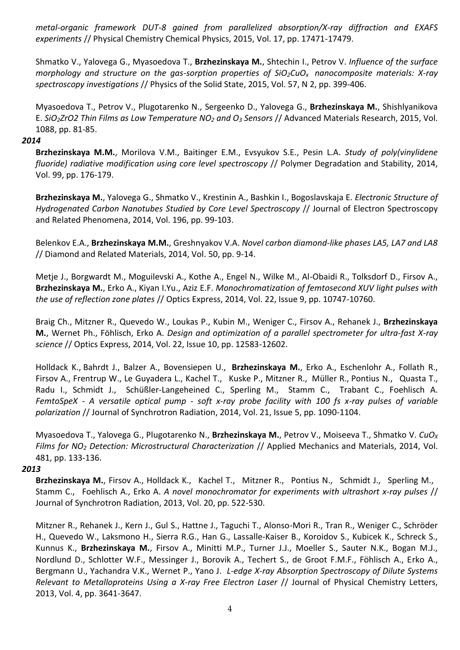*metal-organic framework DUT-8 gained from parallelized absorption/X-ray diffraction and EXAFS experiments* // Physical Chemistry Chemical Physics, 2015, Vol. 17, pp. 17471-17479.

Shmatko V., Yalovega G., Myasoedova T., **Brzhezinskaya M.**, Shtechin I., Petrov V. *Influence of the surface morphology and structure on the gas-sorption properties of SiO2CuOx nanocomposite materials: X-ray spectroscopy investigations* // Physics of the Solid State, 2015, Vol. 57, N 2, pp. 399-406.

Myasoedova T., Petrov V., Plugotarenko N., Sergeenko D., Yalovega G., **Brzhezinskaya M.**, Shishlyanikova E. *SiO2ZrO2 Thin Films as Low Temperature NO<sup>2</sup> and O<sup>3</sup> Sensors* // Advanced Materials Research, 2015, Vol. 1088, pp. 81-85.

#### *2014*

**Brzhezinskaya M.M.**, Morilova V.M., Baitinger E.M., Evsyukov S.E., Pesin L.A. *Study of poly(vinylidene fluoride) radiative modification using core level spectroscopy* // Polymer Degradation and Stability, 2014, Vol. 99, pp. 176-179.

**Brzhezinskaya M.**, Yalovega G., Shmatko V., Krestinin A., Bashkin I., Bogoslavskaja E. *Electronic Structure of Hydrogenated Carbon Nanotubes Studied by Core Level Spectroscopy* // Journal of Electron Spectroscopy and Related Phenomena, 2014, Vol. 196, pp. 99-103.

Belenkov E.A., **Brzhezinskaya M.M.**, Greshnyakov V.A. *Novel carbon diamond-like phases LA5, LA7 and LA8* // Diamond and Related Materials, 2014, Vol. 50, pp. 9-14.

Metje J., Borgwardt M., Moguilevski A., Kothe A., Engel N., Wilke M., Al-Obaidi R., Tolksdorf D., Firsov A., **Brzhezinskaya M.**, Erko A., Kiyan I.Yu., Aziz E.F. *Monochromatization of femtosecond XUV light pulses with the use of reflection zone plates* // Optics Express, 2014, Vol. 22, Issue 9, pp. 10747-10760.

Braig Ch., Mitzner R., Quevedo W., Loukas P., Kubin M., Weniger C., Firsov A., Rehanek J., **Brzhezinskaya M.**, Wernet Ph., Föhlisch, Erko A. *Design and optimization of a parallel spectrometer for ultra-fast X-ray science* // Optics Express, 2014, Vol. 22, Issue 10, pp. 12583-12602.

Holldack K., Bahrdt J., Balzer A., Bovensiepen U., **Brzhezinskaya M.**, Erko A., Eschenlohr A., Follath R., Firsov A., Frentrup W., Le Guyadera L., Kachel T., Kuske P., Mitzner R., Müller R., Pontius N., Quasta T., Radu I., Schmidt J., Schüßler-Langeheined C., Sperling M., Stamm C., Trabant C., Foehlisch A. *FemtoSpeX - A versatile optical pump - soft x-ray probe facility with 100 fs x-ray pulses of variable polarization* // Journal of Synchrotron Radiation, 2014, Vol. 21, Issue 5, pp. 1090-1104.

Myasoedova T., Yalovega G., Plugotarenko N., **Brzhezinskaya M.**, Petrov V., Moiseeva T., Shmatko V. *CuO<sup>X</sup> Films for NO<sup>2</sup> Detection: Microstructural Characterization* // Applied Mechanics and Materials, 2014, Vol. 481, pp. 133-136.

### *2013*

**Brzhezinskaya M.**, Firsov A., Holldack K., Kachel T., Mitzner R., Pontius N., Schmidt J., Sperling M., Stamm C., Foehlisch A., Erko A. *A novel monochromator for experiments with ultrashort x-ray pulses* // Journal of Synchrotron Radiation, 2013, Vol. 20, pp. 522-530.

Mitzner R., Rehanek J., Kern J., Gul S., Hattne J., Taguchi T., Alonso-Mori R., Tran R., Weniger C., Schröder H., Quevedo W., Laksmono H., Sierra R.G., Han G., Lassalle-Kaiser B., Koroidov S., Kubicek K., Schreck S., Kunnus K., **Brzhezinskaya M.**, Firsov A., Minitti M.P., Turner J.J., Moeller S., Sauter N.K., Bogan M.J., Nordlund D., Schlotter W.F., Messinger J., Borovik A., Techert S., de Groot F.M.F., Föhlisch A., Erko A., Bergmann U., Yachandra V.K., Wernet P., Yano J. *L-edge X-ray Absorption Spectroscopy of Dilute Systems Relevant to Metalloproteins Using a X-ray Free Electron Laser* // Journal of Physical Chemistry Letters, 2013, Vol. 4, pp. 3641-3647.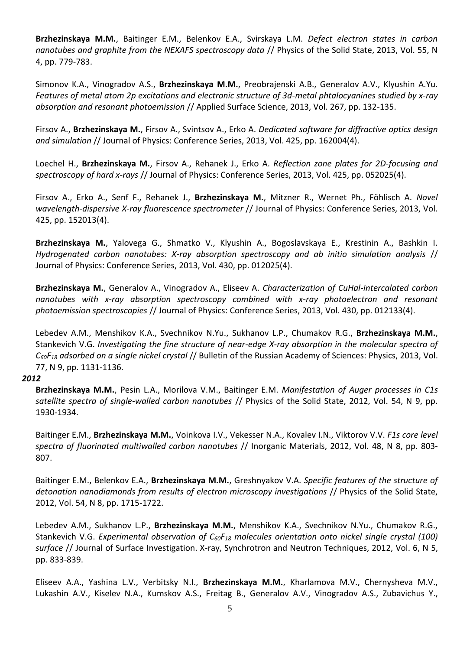**Brzhezinskaya M.M.**, Baitinger E.M., Belenkov E.A., Svirskaya L.M. *Defect electron states in carbon nanotubes and graphite from the NEXAFS spectroscopy data* // Physics of the Solid State, 2013, Vol. 55, N 4, pp. 779-783.

Simonov K.A., Vinogradov A.S., **Brzhezinskaya M.M.**, Preobrajenski A.B., Generalov A.V., Klyushin A.Yu. *Features of metal atom 2p excitations and electronic structure of 3d-metal phtalocyanines studied by x-ray absorption and resonant photoemission* // Applied Surface Science, 2013, Vol. 267, pp. 132-135.

Firsov A., **Brzhezinskaya M.**, Firsov A., Svintsov A., Erko A. *Dedicated software for diffractive optics design and simulation* // Journal of Physics: Conference Series, 2013, Vol. 425, pp. 162004(4).

Loechel H., **Brzhezinskaya M.**, Firsov A., Rehanek J., Erko A. *Reflection zone plates for 2D-focusing and spectroscopy of hard x-rays* // Journal of Physics: Conference Series, 2013, Vol. 425, pp. 052025(4).

Firsov A., Erko A., Senf F., Rehanek J., **Brzhezinskaya M.**, Mitzner R., Wernet Ph., Föhlisch A. *Novel wavelength-dispersive X-ray fluorescence spectrometer* // Journal of Physics: Conference Series, 2013, Vol. 425, pp. 152013(4).

**Brzhezinskaya M.**, Yalovega G., Shmatko V., Klyushin A., Bogoslavskaya E., Krestinin A., Bashkin I. *Hydrogenated carbon nanotubes: X-ray absorption spectroscopy and ab initio simulation analysis* // Journal of Physics: Conference Series, 2013, Vol. 430, pp. 012025(4).

**Brzhezinskaya M.**, Generalov A., Vinogradov A., Eliseev A. *Characterization of CuHal-intercalated carbon nanotubes with x-ray absorption spectroscopy combined with x-ray photoelectron and resonant photoemission spectroscopies* // Journal of Physics: Conference Series, 2013, Vol. 430, pp. 012133(4).

Lebedev A.M., Menshikov K.A., Svechnikov N.Yu., Sukhanov L.P., Chumakov R.G., **Brzhezinskaya M.M.**, Stankevich V.G. *Investigating the fine structure of near-edge X-ray absorption in the molecular spectra of C60F<sup>18</sup> adsorbed on a single nickel crystal* // Bulletin of the Russian Academy of Sciences: Physics, 2013, Vol. 77, N 9, pp. 1131-1136.

### *2012*

**Brzhezinskaya M.M.**, Pesin L.A., Morilova V.M., Baitinger E.M. *Manifestation of Auger processes in C1s satellite spectra of single-walled carbon nanotubes* // Physics of the Solid State, 2012, Vol. 54, N 9, pp. 1930-1934.

Baitinger E.M., **Brzhezinskaya M.M.**, Voinkova I.V., Vekesser N.A., Kovalev I.N., Viktorov V.V. *F1s core level spectra of fluorinated multiwalled carbon nanotubes* // Inorganic Materials, 2012, Vol. 48, N 8, pp. 803- 807.

Baitinger E.M., Belenkov E.A., **Brzhezinskaya M.M.**, Greshnyakov V.A. *[Specific features of the structure of](http://www.springerlink.com/content/712492u6v2428t27/)  [detonation nanodiamonds from results of electron microscopy investigations](http://www.springerlink.com/content/712492u6v2428t27/)* // Physics of the Solid State, 2012, Vol. 54, N 8, pp. 1715-1722.

Lebedev A.M., Sukhanov L.P., **Brzhezinskaya M.M.**, Menshikov K.A., Svechnikov N.Yu., Chumakov R.G., Stankevich V.G. *Experimental observation of C60F<sup>18</sup> molecules orientation onto nickel single crystal (100) surface* // Journal of Surface Investigation. X-ray, Synchrotron and Neutron Techniques, 2012, Vol. 6, N 5, pp. 833-839.

Eliseev A.A., Yashina L.V., Verbitsky N.I., **Brzhezinskaya M.M.**, Kharlamova M.V., Chernysheva M.V., Lukashin A.V., Kiselev N.A., Kumskov A.S., Freitag B., Generalov A.V., Vinogradov A.S., Zubavichus Y.,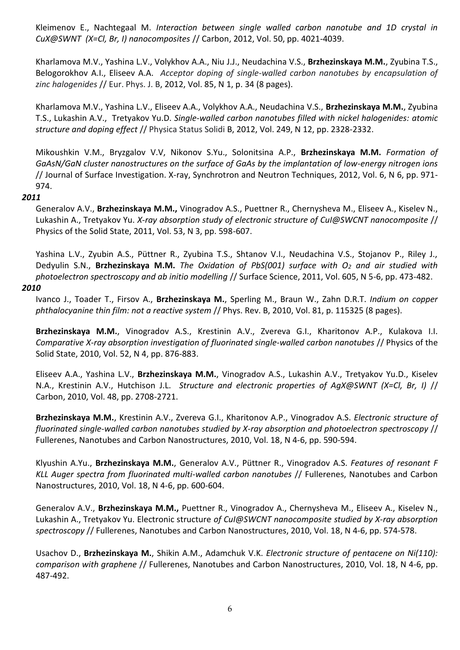Kleimenov E., Nachtegaal M. *Interaction between single walled carbon nanotube and 1D crystal in CuX@SWNT (X=Cl, Br, I) nanocomposites* // Carbon, 2012, Vol. 50, pp. 4021-4039.

Kharlamova M.V., Yashina L.V., Volykhov A.A., Niu J.J., Neudachina V.S., **Brzhezinskaya M.M.**, Zyubina T.S., Belogorokhov A.I., Eliseev A.A. *Acceptor doping of single-walled carbon nanotubes by encapsulation of zinc halogenides* // Eur. Phys. J. B, 2012, Vol. 85, N 1, p. 34 (8 pages).

Kharlamova M.V., Yashina L.V., Eliseev A.A., Volykhov A.A., Neudachina V.S., **Brzhezinskaya M.M.**, Zyubina T.S., Lukashin A.V., Tretyakov Yu.D. *Single-walled carbon nanotubes filled with nickel halogenides: atomic structure and doping effect* // Physica Status Solidi B, 2012, Vol. 249, N 12, pp. 2328-2332.

Mikoushkin V.M., Bryzgalov V.V, Nikonov S.Yu., Solonitsina A.P., **Brzhezinskaya M.M.** *Formation of GaAsN/GaN cluster nanostructures on the surface of GaAs by the implantation of low-energy nitrogen ions* // Journal of Surface Investigation. X-ray, Synchrotron and Neutron Techniques, 2012, Vol. 6, N 6, pp. 971- 974.

# *2011*

Generalov A.V., **Brzhezinskaya M.M.,** Vinogradov A.S., Puettner R., Chernysheva M., Eliseev A., Kiselev N., Lukashin A., Tretyakov Yu. *X-ray absorption study of electronic structure of CuI@SWCNT nanocomposite* // Physics of the Solid State, 2011, Vol. 53, N 3, pp. 598-607.

Yashina L.V., Zyubin A.S., Püttner R., Zyubina T.S., Shtanov V.I., Neudachina V.S., Stojanov P., Riley J., Dedyulin S.N., **Brzhezinskaya M.M.** *The Oxidation of PbS(001) surface with O<sup>2</sup> and air studied with photoelectron spectroscopy and ab initio modelling* // Surface Science, 2011, Vol. 605, N 5-6, pp. 473-482.

# *2010*

Ivanco J., Toader T., Firsov A., **Brzhezinskaya M.**, Sperling M., Braun W., Zahn D.R.T. *Indium on copper phthalocyanine thin film: not a reactive system* // Phys. Rev. B, 2010, Vol. 81, p. 115325 (8 pages).

**Brzhezinskaya M.M.**, Vinogradov A.S., Krestinin A.V., Zvereva G.I., Kharitonov A.P., Kulakova I.I. *Comparative X-ray absorption investigation of fluorinated single-walled carbon nanotubes* // Physics of the Solid State, 2010, Vol. 52, N 4, pp. 876-883.

Eliseev A.A., Yashina L.V., **Brzhezinskaya M.M.**, Vinogradov A.S., Lukashin A.V., Tretyakov Yu.D., Kiselev N.A., Krestinin A.V., Hutchison J.L. *Structure and electronic properties of AgX@SWNT (X=Cl, Br, I)* // Carbon, 2010, Vol. 48, pp. 2708-2721.

**Brzhezinskaya M.M.**, Krestinin A.V., Zvereva G.I., Kharitonov A.P., Vinogradov A.S. *Electronic structure of fluorinated single-walled carbon nanotubes studied by X-ray absorption and photoelectron spectroscopy* // Fullerenes, Nanotubes and Carbon Nanostructures, 2010, Vol. 18, N 4-6, pp. 590-594.

Klyushin A.Yu., **Brzhezinskaya M.M.**, Generalov A.V., Püttner R., Vinogradov A.S. *Features of resonant F KLL Auger spectra from fluorinated multi-walled carbon nanotubes* // Fullerenes, Nanotubes and Carbon Nanostructures, 2010, Vol. 18, N 4-6, pp. 600-604.

Generalov A.V., **Brzhezinskaya M.M.,** Puettner R., Vinogradov A., Chernysheva M., Eliseev A., Kiselev N., Lukashin A., Tretyakov Yu. Electronic structure *of CuI@SWCNT nanocomposite studied by X-ray absorption spectroscopy* // Fullerenes, Nanotubes and Carbon Nanostructures, 2010, Vol. 18, N 4-6, pp. 574-578.

Usachov D., **Brzhezinskaya M.**, Shikin A.M., Adamchuk V.K. *Electronic structure of pentacene on Ni(110): comparison with graphene* // Fullerenes, Nanotubes and Carbon Nanostructures, 2010, Vol. 18, N 4-6, pp. 487-492.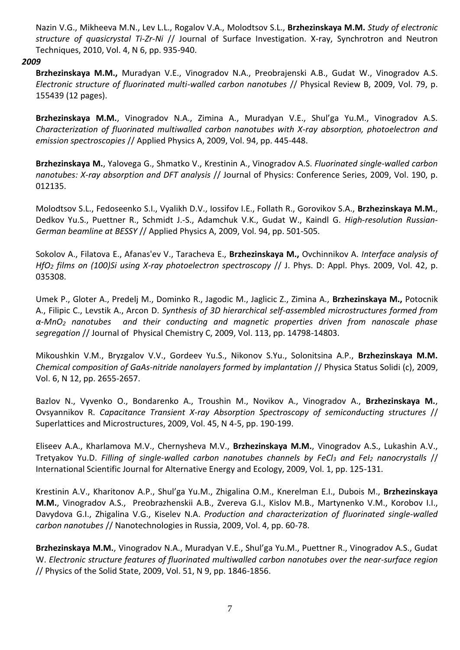Nazin V.G., Mikheeva M.N., Lev L.L., Rogalov V.A., Molodtsov S.L., **Brzhezinskaya M.M.** *Study of electronic structure of quasicrystal Ti-Zr-Ni* // Journal of Surface Investigation. X-ray, Synchrotron and Neutron Techniques, 2010, Vol. 4, N 6, pp. 935-940.

## *2009*

**Brzhezinskaya M.M.,** Muradyan V.E., Vinogradov N.A., Preobrajenski A.B., Gudat W., Vinogradov A.S. *Electronic structure of fluorinated multi-walled carbon nanotubes* // Physical Review B, 2009, Vol. 79, p. 155439 (12 pages).

**Brzhezinskaya M.M.**, Vinogradov N.A., Zimina A., Muradyan V.E., Shul'ga Yu.M., Vinogradov A.S. *Characterization of fluorinated multiwalled carbon nanotubes with X-ray absorption, photoelectron and emission spectroscopies* // Applied Physics A, 2009, Vol. 94, pp. 445-448.

**Brzhezinskaya M.**, Yalovega G., Shmatko V., Krestinin A., Vinogradov A.S. *Fluorinated single-walled carbon nanotubes: X-ray absorption and DFT analysis* // Journal of Physics: Conference Series, 2009, Vol. 190, p. 012135.

Molodtsov S.L., Fedoseenko S.I., Vyalikh D.V., Iossifov I.E., Follath R., Gorovikov S.A., **Brzhezinskaya M.M.**, Dedkov Yu.S., Puettner R., Schmidt J.-S., Adamchuk V.K., Gudat W., Kaindl G. *High-resolution Russian-German beamline at BESSY* // Applied Physics A, 2009, Vol. 94, pp. 501-505.

Sokolov A., Filatova E., Afanas'ev V., Taracheva E., **Brzhezinskaya M.,** Ovchinnikov A. *Interface analysis of HfO<sup>2</sup> films on (100)Si using X-ray photoelectron spectroscopy* // J. Phys. D: Appl. Phys. 2009, Vol. 42, p. 035308.

Umek P., Gloter A., Predelj M., Dominko R., Jagodic M., Jaglicic Z., Zimina A., **Brzhezinskaya M.,** Potocnik A., Filipic C., Levstik A., Arcon D. *Synthesis of 3D hierarchical self-assembled microstructures formed from α-MnO<sup>2</sup> nanotubes and their conducting and magnetic properties driven from nanoscale phase segregation* // Journal of Physical Chemistry C, 2009, Vol. 113, pp. 14798-14803.

Mikoushkin V.M., Bryzgalov V.V., Gordeev Yu.S., Nikonov S.Yu., Solonitsina A.P., **Brzhezinskaya M.M.**  *Chemical composition of GaAs-nitride nanolayers formed by implantation* // Physica Status Solidi (c), 2009, Vol. 6, N 12, pp. 2655-2657.

Bazlov N., Vyvenko O., Bondarenko A., Troushin M., Novikov A., Vinogradov A., **Brzhezinskaya M.**, Ovsyannikov R. *Capacitance Transient X-ray Absorption Spectroscopy of semiconducting structures* // Superlattices and Microstructures, 2009, Vol. 45, N 4-5, pp. 190-199.

[Eliseev A.A., Kharlamova М.V., Chernysheva М.V.,](http://isjaee.hydrogen.ru/pdf/summary/01-09/Eliseev_125.pdf) **Brzhezinskaya М.М.**, Vinogradov А.S., Lukashin А.V., [Tretyakov](http://isjaee.hydrogen.ru/pdf/summary/01-09/Eliseev_125.pdf) Yu.D. *[Filling of single-walled carbon nanotubes channels by FeCl](http://isjaee.hydrogen.ru/pdf/summary/01-09/Eliseev_125.pdf)<sup>3</sup> and FeI<sup>2</sup> nanocrystalls* // International Scientific Journal for Alternative Energy and Ecology, 2009, Vol. 1, pp. 125-131.

Krestinin A.V., Kharitonov A.P., Shul'ga Yu.M., Zhigalina O.M., Knerelman E.I., Dubois M., **Brzhezinskaya M.M.**, Vinogradov A.S., Preobrazhenskii A.B., Zvereva G.I., Kislov M.B., Martynenko V.M., Korobov I.I., Davydova G.I., Zhigalina V.G., Kiselev N.A. *Production and characterization of fluorinated single-walled carbon nanotubes* // Nanotechnologies in Russia, 2009, Vol. 4, pp. 60-78.

**Brzhezinskaya M.M.**, Vinogradov N.A., Muradyan V.E., Shul'ga Yu.M., Puettner R., Vinogradov A.S., Gudat W. *Electronic structure features of fluorinated multiwalled carbon nanotubes over the near-surface region* // Physics of the Solid State, 2009, Vol. 51, N 9, pp. 1846-1856.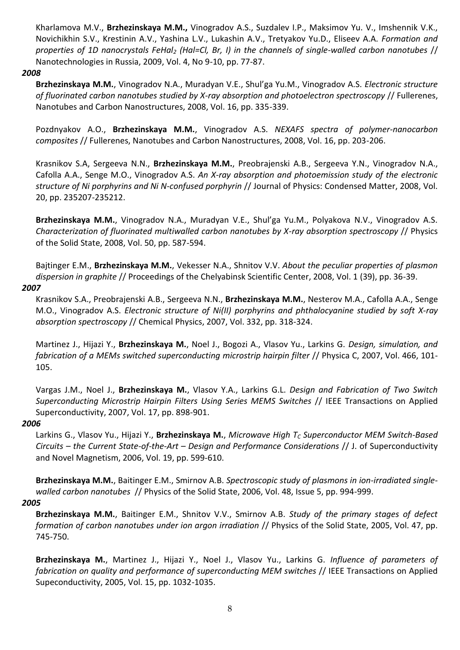Kharlamova M.V., **Brzhezinskaya M.M.,** Vinogradov A.S., Suzdalev I.P., Maksimov Yu. V., Imshennik V.K., Novichikhin S.V., Krestinin A.V., Yashina L.V., Lukashin A.V., Tretyakov Yu.D., Eliseev A.A. *Formation and properties of 1D nanocrystals FeHal<sup>2</sup> (Hal=Cl, Br, I) in the channels of single-walled carbon nanotubes* // Nanotechnologies in Russia, 2009, Vol. 4, No 9-10, pp. 77-87.

#### *2008*

**Brzhezinskaya M.M.**, Vinogradov N.A., Muradyan V.E., Shul'ga Yu.M., Vinogradov A.S. *Electronic structure of fluorinated carbon nanotubes studied by X-ray absorption and photoelectron spectroscopy* // Fullerenes, Nanotubes and Carbon Nanostructures, 2008, Vol. 16, pp. 335-339.

Pozdnyakov A.O., **Brzhezinskaya M.M.**, Vinogradov A.S. *NEXAFS spectra of polymer-nanocarbon composites* // Fullerenes, Nanotubes and Carbon Nanostructures, 2008, Vol. 16, pp. 203-206.

Krasnikov S.A, Sergeeva N.N., **Brzhezinskaya M.M.**, Preobrajenski A.B., Sergeeva Y.N., Vinogradov N.A., Cafolla A.A., Senge M.O., Vinogradov A.S. *An X-ray absorption and photoemission study of the electronic structure of Ni porphyrins and Ni N-confused porphyrin* // Journal of Physics: Condensed Matter, 2008, Vol. 20, pp. 235207-235212.

**Brzhezinskaya M.M.**, Vinogradov N.A., Muradyan V.E., Shul'ga Yu.M., Polyakova N.V., Vinogradov A.S. *Characterization of fluorinated multiwalled carbon nanotubes by X-ray absorption spectroscopy* // Physics of the Solid State, 2008, Vol. 50, pp. 587-594.

Bajtinger E.M., **Brzhezinskaya M.M.**, Vekesser N.A., Shnitov V.V. *About the peculiar properties of plasmon dispersion in graphite* // Proceedings of the Chelyabinsk Scientific Center, 2008, Vol. 1 (39), pp. 36-39.

### *2007*

Krasnikov S.A., Preobrajenski A.B., Sergeeva N.N., **Brzhezinskaya M.M.**, Nesterov M.A., Cafolla A.A., Senge M.O., Vinogradov A.S. *Electronic structure of Ni(II) porphyrins and phthalocyanine studied by soft X-ray absorption spectroscopy* // Chemical Physics, 2007, Vol. 332, pp. 318-324.

Martinez J., Hijazi Y., **Brzhezinskaya M.**, Noel J., Bogozi A., Vlasov Yu., Larkins G. *Design, simulation, and fabrication of a MEMs switched superconducting microstrip hairpin filter* // Physica C, 2007, Vol. 466, 101- 105.

Vargas J.M., Noel J., **Brzhezinskaya M.**, Vlasov Y.A., Larkins G.L. *Design and Fabrication of Two Switch Superconducting Microstrip Hairpin Filters Using Series MEMS Switches* // IEEE Transactions on Applied Superconductivity, 2007, Vol. 17, pp. 898-901.

### *2006*

Larkins G., Vlasov Yu., Hijazi Y., **Brzhezinskaya M.**, *Microwave High T<sup>C</sup> Superconductor MEM Switch-Based Circuits – the Current State-of-the-Art – Design and Performance Considerations* // J. of Superconductivity and Novel Magnetism, 2006, Vol. 19, pp. 599-610.

**Brzhezinskaya M.M.**, Baitinger E.M., Smirnov A.B. *Spectroscopic study of plasmons in ion-irradiated singlewalled carbon nanotubes* // Physics of the Solid State, 2006, Vol. 48, Issue 5, pp. 994-999.

# *2005*

**Brzhezinskaya M.M.**, Baitinger E.M., Shnitov V.V., Smirnov A.B. *Study of the primary stages of defect formation of carbon nanotubes under ion argon irradiation* // Physics of the Solid State, 2005, Vol. 47, pp. 745-750.

**Brzhezinskaya M.**, Martinez J., Hijazi Y., Noel J., Vlasov Yu., Larkins G. *Influence of parameters of fabrication on quality and performance of superconducting MEM switches* // IEEE Transactions on Applied Supeconductivity, 2005, Vol. 15, pp. 1032-1035.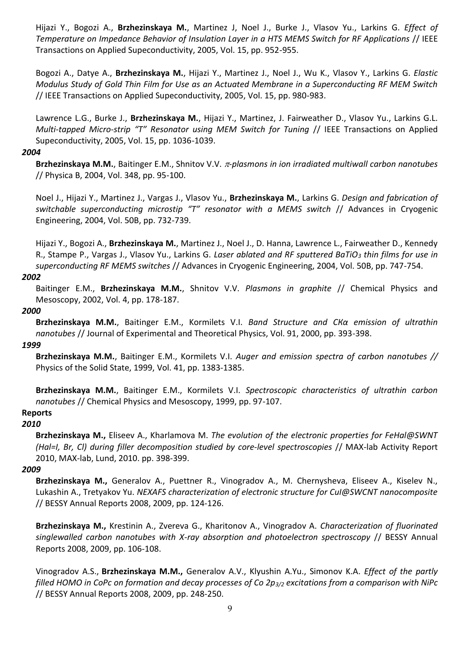Hijazi Y., Bogozi A., **Brzhezinskaya M.**, Martinez J, Noel J., Burke J., Vlasov Yu., Larkins G. *Effect of Temperature on Impedance Behavior of Insulation Layer in a HTS MEMS Switch for RF Applications* // IEEE Transactions on Applied Supeconductivity, 2005, Vol. 15, pp. 952-955.

Bogozi A., Datye A., **Brzhezinskaya M.**, Hijazi Y., Martinez J., Noel J., Wu K., Vlasov Y., Larkins G. *Elastic Modulus Study of Gold Thin Film for Use as an Actuated Membrane in a Superconducting RF MEM Switch* // IEEE Transactions on Applied Supeconductivity, 2005, Vol. 15, pp. 980-983.

Lawrence L.G., Burke J., **Brzhezinskaya M.**, Hijazi Y., Martinez, J. Fairweather D., Vlasov Yu., Larkins G.L. *Multi-tapped Micro-strip "T" Resonator using MEM Switch for Tuning* // IEEE Transactions on Applied Supeconductivity, 2005, Vol. 15, pp. 1036-1039.

#### *2004*

Brzhezinskaya M.M., Baitinger E.M., Shnitov V.V. *r*-plasmons in ion irradiated multiwall carbon nanotubes // Physica B, 2004, Vol. 348, pp. 95-100.

Noel J., Hijazi Y., Martinez J., Vargas J., Vlasov Yu., **Brzhezinskaya M.**, Larkins G. *Design and fabrication of switchable superconducting microstip "T" resonator with a MEMS switch* // Advances in Cryogenic Engineering, 2004, Vol. 50B, pp. 732-739.

Hijazi Y., Bogozi A., **Brzhezinskaya M.**, Martinez J., Noel J., D. Hanna, Lawrence L., Fairweather D., Kennedy R., Stampe P., Vargas J., Vlasov Yu., Larkins G. *Laser ablated and RF sputtered BaTiO<sup>3</sup> thin films for use in superconducting RF MEMS switches* // Advances in Cryogenic Engineering, 2004, Vol. 50B, pp. 747-754.

### *2002*

Baitinger E.M., **Brzhezinskaya M.M.**, Shnitov V.V. *Plasmons in graphite* // Chemical Physics and Mesoscopy, 2002, Vol. 4, pp. 178-187.

### *2000*

**Brzhezinskaya M.M.**, Baitinger E.M., Kormilets V.I. *Band Structure and СКα emission of ultrathin nanotubes* // Journal of Experimental and Theoretical Physics, Vol. 91, 2000, pp. 393-398.

### *1999*

**Brzhezinskaya M.M.**, Baitinger E.M., Kormilets V.I. *Auger and emission spectra of carbon nanotubes //*  Physics of the Solid State, 1999, Vol. 41, pp. 1383-1385.

**Brzhezinskaya M.M.**, Baitinger E.M., Kormilets V.I. *Spectroscopic characteristics of ultrathin carbon nanotubes* // Chemical Physics and Mesoscopy, 1999, pp. 97-107.

# **Reports**

### *2010*

**Brzhezinskaya M.,** Eliseev A., Kharlamova M. *The evolution of the electronic properties for FeHal@SWNT (Hal=I, Br, Cl) during filler decomposition studied by core-level spectroscopies* // MAX-lab Activity Report 2010, MAX-lab, Lund, 2010. pp. 398-399.

#### *2009*

**Brzhezinskaya M.,** Generalov A., Puettner R., Vinogradov A., M. Chernysheva, Eliseev A., Kiselev N., Lukashin A., Tretyakov Yu. *NEXAFS characterization of electronic structure for CuI@SWCNT nanocomposite* // BESSY Annual Reports 2008, 2009, pp. 124-126.

**Brzhezinskaya M.,** Krestinin A., Zvereva G., Kharitonov A., Vinogradov A. *Characterization of fluorinated singlewalled carbon nanotubes with X-ray absorption and photoelectron spectroscopy* // BESSY Annual Reports 2008, 2009, pp. 106-108.

Vinogradov А.S., **Brzhezinskaya M.M.,** Generalov A.V., Klyushin A.Yu., Simonov K.A. *Effect of the partly filled HOMO in CoPc on formation and decay processes of Co 2p3/2 excitations from a comparison with NiPc* // BESSY Annual Reports 2008, 2009, pp. 248-250.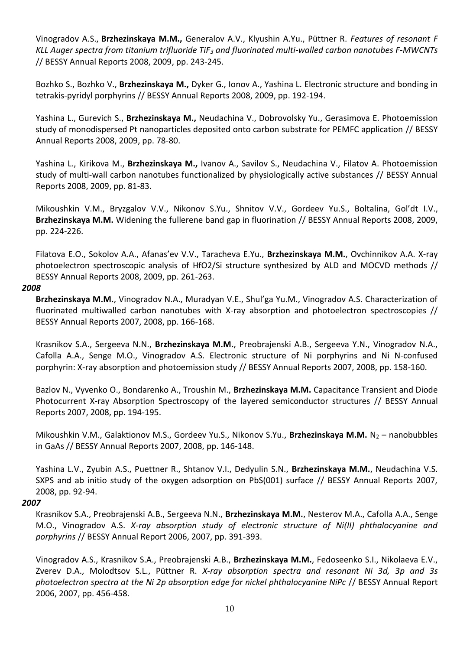Vinogradov А.S., **Brzhezinskaya M.M.,** Generalov A.V., Klyushin A.Yu., Püttner R. *Features of resonant F KLL Auger spectra from titanium trifluoride TiF<sup>3</sup> and fluorinated multi-walled carbon nanotubes F-MWCNTs* // BESSY Annual Reports 2008, 2009, pp. 243-245.

Bozhko S., Bozhko V., **Brzhezinskaya M.,** Dyker G., Ionov A., Yashina L. Electronic structure and bonding in tetrakis-pyridyl porphyrins // BESSY Annual Reports 2008, 2009, pp. 192-194.

Yashina L., Gurevich S., **Brzhezinskaya M.,** Neudachina V., Dobrovolsky Yu., Gerasimova E. Photoemission study of monodispersed Pt nanoparticles deposited onto carbon substrate for PEMFC application // BESSY Annual Reports 2008, 2009, pp. 78-80.

Yashina L., Kirikova M., **Brzhezinskaya M.,** Ivanov A., Savilov S., Neudachina V., Filatov A. Photoemission study of multi-wall carbon nanotubes functionalized by physiologically active substances // BESSY Annual Reports 2008, 2009, pp. 81-83.

Mikoushkin V.M., Bryzgalov V.V., Nikonov S.Yu., Shnitov V.V., Gordeev Yu.S., Boltalina, Gol'dt I.V., **Brzhezinskaya M.M.** Widening the fullerene band gap in fluorination // BESSY Annual Reports 2008, 2009, pp. 224-226.

Filatova E.O., Sokolov A.A., Afanas'ev V.V., Taracheva E.Yu., **Brzhezinskaya M.M.**, Ovchinnikov A.A. X-ray photoelectron spectroscopic analysis of HfO2/Si structure synthesized by ALD and MOCVD methods // BESSY Annual Reports 2008, 2009, pp. 261-263.

#### *2008*

**Brzhezinskaya M.M.**, Vinogradov N.A., Muradyan V.E., Shul'ga Yu.M., Vinogradov A.S. Characterization of fluorinated multiwalled carbon nanotubes with X-ray absorption and photoelectron spectroscopies // BESSY Annual Reports 2007, 2008, pp. 166-168.

Krasnikov S.A., Sergeeva N.N., **Brzhezinskaya M.M.**, Preobrajenski A.B., Sergeeva Y.N., Vinogradov N.A., Cafolla A.A., Senge M.O., Vinogradov A.S. Electronic structure of Ni porphyrins and Ni N-confused porphyrin: X-ray absorption and photoemission study // BESSY Annual Reports 2007, 2008, pp. 158-160.

Bazlov N., Vyvenko O., Bondarenko A., Troushin M., **Brzhezinskaya M.M.** Capacitance Transient and Diode Photocurrent X-ray Absorption Spectroscopy of the layered semiconductor structures // BESSY Annual Reports 2007, 2008, pp. 194-195.

Mikoushkin V.M., Galaktionov M.S., Gordeev Yu.S., Nikonov S.Yu., **Brzhezinskaya M.M.** N<sup>2</sup> – nanobubbles in GaAs // BESSY Annual Reports 2007, 2008, pp. 146-148.

Yashina L.V., Zyubin A.S., Puettner R., Shtanov V.I., Dedyulin S.N., **Brzhezinskaya M.M.**, Neudachina V.S. SXPS and ab initio study of the oxygen adsorption on PbS(001) surface // BESSY Annual Reports 2007, 2008, pp. 92-94.

### *2007*

Krasnikov S.A., Preobrajenski A.B., Sergeeva N.N., **Brzhezinskaya M.M.**, Nesterov M.A., Cafolla A.A., Senge M.O., Vinogradov A.S. *X-ray absorption study of electronic structure of Ni(II) phthalocyanine and porphyrins* // BESSY Annual Report 2006, 2007, pp. 391-393.

Vinogradov A.S., Krasnikov S.A., Preobrajenski A.B., **Brzhezinskaya M.M.**, Fedoseenko S.I., Nikolaeva E.V., Zverev D.A., Molodtsov S.L., Püttner R. *X-ray absorption spectra and resonant Ni 3d, 3p and 3s photoelectron spectra at the Ni 2p absorption edge for nickel phthalocyanine NiPc* // BESSY Annual Report 2006, 2007, pp. 456-458.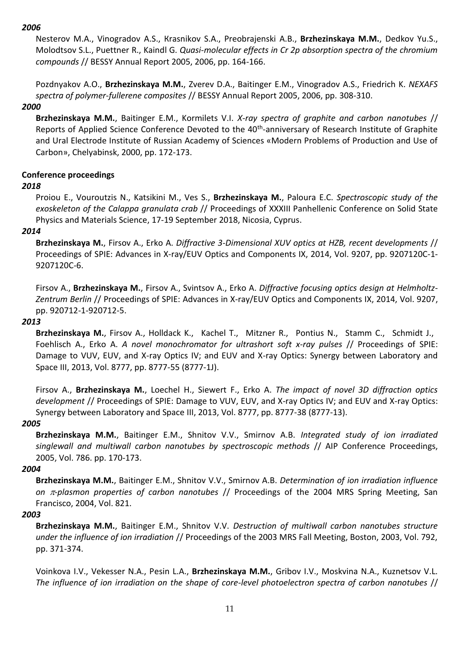# *2006*

Nesterov M.А., Vinogradov А.S., Кrasnikov S.А., Preobrajenski А.B., **Brzhezinskaya M.M.**, Dedkov Yu.S., Моlodtsov S.L., Puettner R., Kaindl G. *Quasi-molecular effects in Cr 2p absorption spectra of the chromium compounds* // BESSY Annual Report 2005, 2006, pp. 164-166.

Pozdnyakov A.O., **Brzhezinskaya M.M.**, Zverev D.A., Baitinger E.M., Vinogradov A.S., Friedrich K. *NEXAFS spectra of polymer-fullerene composites* // BESSY Annual Report 2005, 2006, pp. 308-310.

# *2000*

**Brzhezinskaya M.M.**, Baitinger E.M., Kormilets V.I. *X-ray spectra of graphite and carbon nanotubes* // Reports of Applied Science Conference Devoted to the 40<sup>th</sup>-anniversary of Research Institute of Graphite and Ural Electrode Institute of Russian Academy of Sciences «Modern Problems of Production and Use of Carbon», Chelyabinsk, 2000, pp. 172-173.

# **Conference proceedings**

### *2018*

Proiou E., Vouroutzis N., Katsikini M., Ves S., **Brzhezinskaya M.**, Paloura E.C. *Spectroscopic study of the exoskeleton of the Calappa granulata crab* // Proceedings of XXXIII Panhellenic Conference on Solid State Physics and Materials Science, 17-19 September 2018, Nicosia, Cyprus.

# *2014*

**Brzhezinskaya M.**, Firsov A., Erko A. *Diffractive 3-Dimensional XUV optics at HZB, recent developments* // Proceedings of SPIE: Advances in X-ray/EUV Optics and Components IX, 2014, Vol. 9207, pp. 9207120C-1- 9207120C-6.

Firsov A., **Brzhezinskaya M.**, Firsov A., Svintsov A., Erko A. *Diffractive focusing optics design at Helmholtz-Zentrum Berlin* // Proceedings of SPIE: Advances in X-ray/EUV Optics and Components IX, 2014, Vol. 9207, pp. 920712-1-920712-5.

#### *2013*

**Brzhezinskaya M.**, Firsov A., Holldack K., Kachel T., Mitzner R., Pontius N., Stamm C., Schmidt J., Foehlisch A., Erko A. *A novel monochromator for ultrashort soft x-ray pulses* // Proceedings of SPIE: Damage to VUV, EUV, and X-ray Optics IV; and EUV and X-ray Optics: Synergy between Laboratory and Space III, 2013, Vol. 8777, pp. 8777-55 (8777-1J).

Firsov A., **Brzhezinskaya M.**, Loechel H., Siewert F., Erko A. *The impact of novel 3D diffraction optics development* // Proceedings of SPIE: Damage to VUV, EUV, and X-ray Optics IV; and EUV and X-ray Optics: Synergy between Laboratory and Space III, 2013, Vol. 8777, pp. 8777-38 (8777-13).

### *2005*

**Brzhezinskaya M.M.**, Baitinger E.M., Shnitov V.V., Smirnov A.B. *Integrated study of ion irradiated singlewall and multiwall carbon nanotubes by spectroscopic methods* // AIP Conference Proceedings, 2005, Vol. 786. pp. 170-173.

### *2004*

**Brzhezinskaya M.M.**, Baitinger E.M., Shnitov V.V., Smirnov A.B. *Determination of ion irradiation influence on -plasmon properties of carbon nanotubes* // Proceedings of the 2004 MRS Spring Meeting, San Francisco, 2004, Vol. 821.

### *2003*

**Brzhezinskaya M.M.**, Baitinger E.M., Shnitov V.V. *Destruction of multiwall carbon nanotubes structure under the influence of ion irradiation* // Proceedings of the 2003 MRS Fall Meeting, Boston, 2003, Vol. 792, pp. 371-374.

Voinkova I.V., Vekesser N.A., Pesin L.A., **Brzhezinskaya M.M.**, Gribov I.V., Moskvina N.A., Kuznetsov V.L. *The influence of ion irradiation on the shape of core-level photoelectron spectra of carbon nanotubes* //